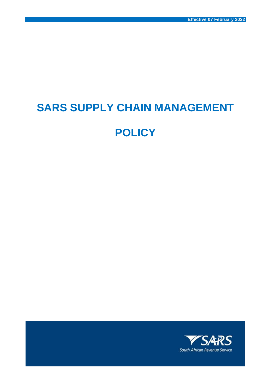# **SARS SUPPLY CHAIN MANAGEMENT**

# **POLICY**

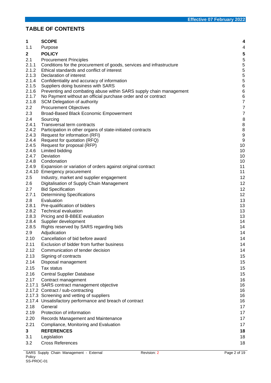# **TABLE OF CONTENTS**

| 1              | <b>SCOPE</b>                                                                                 | 4                                |
|----------------|----------------------------------------------------------------------------------------------|----------------------------------|
| 1.1            | Purpose                                                                                      | 4                                |
| $\mathbf{2}$   | <b>POLICY</b>                                                                                | 5                                |
| 2.1            | <b>Procurement Principles</b>                                                                |                                  |
| 2.1.1          | Conditions for the procurement of goods, services and infrastructure                         | $\frac{5}{5}$                    |
| 2.1.2          | Ethical standards and conflict of interest                                                   | $\frac{5}{5}$                    |
| 2.1.3          | Declaration of interest                                                                      |                                  |
| 2.1.4          | Confidentiality and accuracy of information                                                  | 5                                |
| 2.1.5          | Suppliers doing business with SARS                                                           | $\,6$                            |
| 2.1.6          | Preventing and combating abuse within SARS supply chain management                           | $6\phantom{a}$                   |
| 2.1.7<br>2.1.8 | No Payment without an official purchase order and or contract<br>SCM Delegation of authority | $6\phantom{a}$<br>$\overline{7}$ |
| 2.2            | <b>Procurement Objectives</b>                                                                | $\overline{7}$                   |
| 2.3            | Broad-Based Black Economic Empowerment                                                       | $\overline{7}$                   |
| 2.4            | Sourcing                                                                                     | 8                                |
| 2.4.1          | Transversal term contracts                                                                   | 8                                |
| 2.4.2          | Participation in other organs of state-initiated contracts                                   | 8                                |
| 2.4.3          | Request for information (RFI)                                                                | 9                                |
| 2.4.4          | Request for quotation (RFQ)                                                                  | 9                                |
| 2.4.5          | Request for proposal (RFP)                                                                   | 10                               |
| 2.4.6          | Limited bidding                                                                              | 10                               |
| 2.4.7          | Deviation                                                                                    | 10                               |
| 2.4.8<br>2.4.9 | Condonation<br>Expansion or variation of orders against original contract                    | 10<br>11                         |
| 2.4.10         | <b>Emergency procurement</b>                                                                 | 11                               |
| 2.5            | Industry, market and supplier engagement                                                     | 12                               |
| 2.6            | Digitalisation of Supply Chain Management                                                    | 12                               |
| 2.7            | <b>Bid Specification</b>                                                                     | 12                               |
| 2.7.1          | <b>Determining Specifications</b>                                                            | 12                               |
| 2.8            | Evaluation                                                                                   | 13                               |
| 2.8.1          | Pre-qualification of bidders                                                                 | 13                               |
| 2.8.2          | <b>Technical evaluation</b>                                                                  | 13                               |
| 2.8.3          | Pricing and B-BBEE evaluation                                                                | 13                               |
| 2.8.4          | Supplier development                                                                         | 14                               |
| 2.8.5          | Rights reserved by SARS regarding bids                                                       | 14                               |
| 2.9            | Adjudication                                                                                 | 14                               |
| 2.10           | Cancellation of bid before award                                                             | 14                               |
| 2.11           | Exclusion of bidder from further business                                                    | 14                               |
| 2.12           | Communication of tender decision                                                             | 14                               |
| 2.13           | Signing of contracts                                                                         | 15                               |
| 2.14           | Disposal management                                                                          | 15                               |
| 2.15           | Tax status                                                                                   | 15                               |
| 2.16           | <b>Central Supplier Database</b>                                                             | 15                               |
| 2.17           | Contract management<br>2.17.1 SARS contract management objective                             | 16<br>16                         |
|                | 2.17.2 Contract / sub-contracting                                                            | 16                               |
|                | 2.17.3 Screening and vetting of suppliers                                                    | 16                               |
|                | 2.17.4 Unsatisfactory performance and breach of contract                                     | 16                               |
| 2.18           | General                                                                                      | 17                               |
| 2.19           | Protection of information                                                                    | 17                               |
| 2.20           | Records Management and Maintenance                                                           | 17                               |
| 2.21           | Compliance, Monitoring and Evaluation                                                        | 17                               |
| 3              | <b>REFERENCES</b>                                                                            | 18                               |
| 3.1            | Legislation                                                                                  | 18                               |
| 3.2            | <b>Cross References</b>                                                                      | 18                               |
|                |                                                                                              |                                  |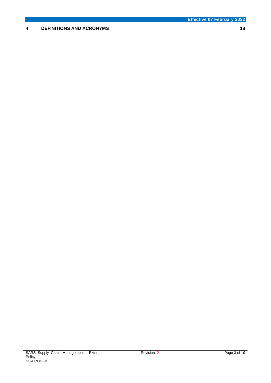# **4 [DEFINITIONS AND ACRONYMS](#page-17-3) 18**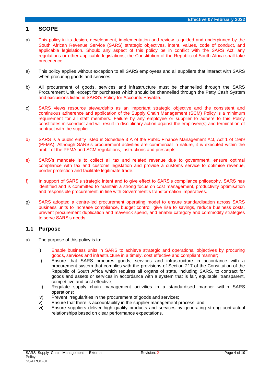# <span id="page-3-0"></span>**1 SCOPE**

- a) This policy in its design, development, implementation and review is guided and underpinned by the South African Revenue Service (SARS) strategic objectives, intent, values, code of conduct, and applicable legislation. Should any aspect of this policy be in conflict with the SARS Act, any regulations or other applicable legislations, the Constitution of the Republic of South Africa shall take precedence.
- a) This policy applies without exception to all SARS employees and all suppliers that interact with SARS when procuring goods and services.
- b) All procurement of goods, services and infrastructure must be channelled through the SARS Procurement Unit, except for purchases which should be channelled through the Petty Cash System and exclusions listed in SARS's Policy for Accounts Payable.
- c) SARS views resource stewardship as an important strategic objective and the consistent and continuous adherence and application of the Supply Chain Management (SCM) Policy is a minimum requirement for all staff members. Failure by any employee or supplier to adhere to this Policy constitutes misconduct and will result in disciplinary action against the employee(s) and termination of contract with the supplier.
- d) SARS is a public entity listed in Schedule 3 A of the Public Finance Management Act, Act 1 of 1999 (PFMA). Although SARS's procurement activities are commercial in nature, it is executed within the ambit of the PFMA and SCM regulations, instructions and prescripts.
- e) SARS's mandate is to collect all tax and related revenue due to government, ensure optimal compliance with tax and customs legislation and provide a customs service to optimise revenue, border protection and facilitate legitimate trade.
- f) In support of SARS's strategic intent and to give effect to SARS's compliance philosophy, SARS has identified and is committed to maintain a strong focus on cost management, productivity optimisation and responsible procurement, in line with Government's transformation imperatives.
- g) SARS adopted a centre-led procurement operating model to ensure standardisation across SARS business units to increase compliance, budget control, give rise to savings, reduce business costs, prevent procurement duplication and maverick spend, and enable category and commodity strategies to serve SARS's needs.

# <span id="page-3-1"></span>**1.1 Purpose**

- a) The purpose of this policy is to:
	- i) Enable business units in SARS to achieve strategic and operational objectives by procuring goods, services and infrastructure in a timely, cost effective and compliant manner;
	- ii) Ensure that SARS procures goods, services and infrastructure in accordance with a procurement system that complies with the provisions of Section 217 of the Constitution of the Republic of South Africa which requires all organs of state, including SARS, to contract for goods and assets or services in accordance with a system that is fair, equitable, transparent, competitive and cost effective;
	- iii) Regulate supply chain management activities in a standardised manner within SARS operations;
	- iv) Prevent irregularities in the procurement of goods and services;
	- v) Ensure that there is accountability in the supplier management process; and
	- vi) Ensure suppliers deliver high quality products and services by generating strong contractual relationships based on clear performance expectations.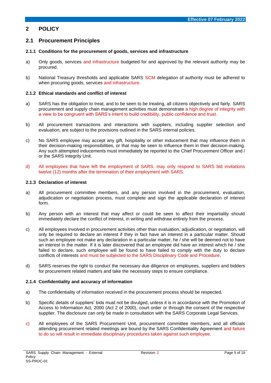# <span id="page-4-0"></span>**2 POLICY**

# <span id="page-4-1"></span>**2.1 Procurement Principles**

#### <span id="page-4-2"></span>**2.1.1 Conditions for the procurement of goods, services and infrastructure**

- a) Only goods, services and infrastructure budgeted for and approved by the relevant authority may be procured.
- b) National Treasury thresholds and applicable SARS SCM delegation of authority must be adhered to when procuring goods, services and infrastructure.

#### <span id="page-4-3"></span>**2.1.2 Ethical standards and conflict of interest**

- a) SARS has the obligation to treat, and to be seen to be treating, all citizens objectively and fairly. SARS procurement and supply chain management activities must demonstrate a high degree of integrity with a view to be congruent with SARS's intent to build credibility, public confidence and trust.
- b) All procurement transactions and interactions with suppliers, including supplier selection and evaluation, are subject to the provisions outlined in the SARS internal policies.
- c) No SARS employee may accept any gift, hospitality or other inducement that may influence them in their decision-making responsibilities, or that may be seen to influence them in their decision-making. Any such attempted inducements must immediately be reported to the Chief Procurement Officer and / or the SARS Integrity Unit.
- d) All employees that have left the employment of SARS, may only respond to SARS bid invitations twelve (12) months after the termination of their employment with SARS.

#### <span id="page-4-4"></span>**2.1.3 Declaration of interest**

- a) All procurement committee members, and any person involved in the procurement, evaluation, adjudication or negotiation process, must complete and sign the applicable declaration of interest form.
- b) Any person with an interest that may affect or could be seen to affect their impartiality should immediately declare the conflict of interest, in writing and withdraw entirely from the process.
- c) All employees involved in procurement activities other than evaluation, adjudication, or negotiation, will only be required to declare an interest if they in fact have an interest in a particular matter. Should such an employee not make any declaration in a particular matter, he / she will be deemed not to have an interest in the matter. If it is later discovered that an employee did have an interest which he / she failed to declare, such employee will be found to have failed to comply with the duty to declare conflicts of interests and must be subjected to the SARS Disciplinary Code and Procedure.
- d) SARS reserves the right to conduct the necessary due diligence on employees, suppliers and bidders for procurement related matters and take the necessary steps to ensure compliance.

#### <span id="page-4-5"></span>**2.1.4 Confidentiality and accuracy of information**

- a) The confidentiality of information received in the procurement process should be respected.
- b) Specific details of suppliers' bids must not be divulged, unless it is in accordance with the Promotion of Access to Information Act, 2000 (Act 2 of 2000), court order or through the consent of the respective supplier. The disclosure can only be made in consultation with the SARS Corporate Legal Services.
- c) All employees of the SARS Procurement Unit, procurement committee members, and all officials attending procurement related meetings are bound by the SARS Confidentiality Agreement and failure to do so will result in immediate disciplinary procedures taken against such employee.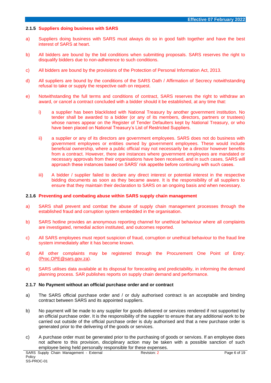#### <span id="page-5-0"></span>**2.1.5 Suppliers doing business with SARS**

- a) Suppliers doing business with SARS must always do so in good faith together and have the best interest of SARS at heart.
- b) All bidders are bound by the bid conditions when submitting proposals. SARS reserves the right to disqualify bidders due to non-adherence to such conditions.
- c) All bidders are bound by the provisions of the Protection of Personal Information Act, 2013.
- d) All suppliers are bound by the conditions of the SARS Oath / Affirmation of Secrecy notwithstanding refusal to take or supply the respective oath on request.
- e) Notwithstanding the full terms and conditions of contract, SARS reserves the right to withdraw an award, or cancel a contract concluded with a bidder should it be established, at any time that:
	- i) a supplier has been blacklisted with National Treasury by another government institution. No tender shall be awarded to a bidder (or any of its members, directors, partners or trustees) whose names appear on the Register of Tender Defaulters kept by National Treasury, or who have been placed on National Treasury's List of Restricted Suppliers.
	- ii) a supplier or any of its directors are government employees. SARS does not do business with government employees or entities owned by government employees. These would include beneficial ownership, where a public official may not necessarily be a director however benefits from a contract. However, there are instances where government employees are mandated or necessary approvals from their organisations have been received, and in such cases, SARS will approach these instances based on SARS' risk appetite before continuing with such cases.
	- iii) A bidder / supplier failed to declare any direct interest or potential interest in the respective bidding documents as soon as they became aware. It is the responsibility of all suppliers to ensure that they maintain their declaration to SARS on an ongoing basis and when necessary.

#### <span id="page-5-1"></span>**2.1.6 Preventing and combating abuse within SARS supply chain management**

- a) SARS shall prevent and combat the abuse of supply chain management processes through the established fraud and corruption system embedded in the organisation.
- b) SARS hotline provides an anonymous reporting channel for unethical behaviour where all complaints are investigated, remedial action instituted, and outcomes reported.
- c) All SARS employees must report suspicion of fraud, corruption or unethical behaviour to the fraud line system immediately after it has become known.
- d) All other complaints may be registered through the Procurement One Point of Entry: [\(Proc.OPE@sars.gov.za\)](mailto:Proc.OPE@sars.gov.za).
- e) SARS utilises data available at its disposal for forecasting and predictability, in informing the demand planning process. SAR publishes reports on supply chain demand and performance.

#### <span id="page-5-2"></span>**2.1.7 No Payment without an official purchase order and or contract**

- a) The SARS official purchase order and / or duly authorised contract is an acceptable and binding contract between SARS and its appointed suppliers.
- b) No payment will be made to any supplier for goods delivered or services rendered if not supported by an official purchase order. It is the responsibility of the supplier to ensure that any additional work to be carried out outside of the official purchase order is duly authorised and that a new purchase order is generated prior to the delivering of the goods or services.
- c) A purchase order must be generated prior to the purchasing of goods or services. If an employee does not adhere to this provision, disciplinary action may be taken with a possible sanction of such employee being held personally responsible for these expenses.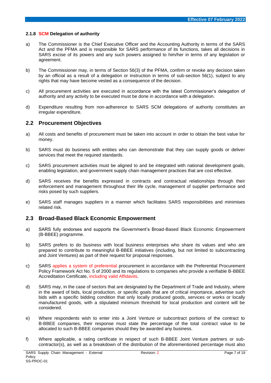#### <span id="page-6-0"></span>**2.1.8 SCM Delegation of authority**

- a) The Commissioner is the Chief Executive Officer and the Accounting Authority in terms of the SARS Act and the PFMA and is responsible for SARS performance of its functions, takes all decisions in SARS excise of its powers and any such powers assigned to him/her in terms of any legislation or agreement.
- b) The Commissioner may, in terms of Section 56(3) of the PFMA, confirm or revoke any decision taken by an official as a result of a delegation or instruction in terms of sub-section 56(1), subject to any rights that may have become vested as a consequence of the decision.
- c) All procurement activities are executed in accordance with the latest Commissioner's delegation of authority and any activity to be executed must be done in accordance with a delegation.
- d) Expenditure resulting from non-adherence to SARS SCM delegations of authority constitutes an irregular expenditure.

# <span id="page-6-1"></span>**2.2 Procurement Objectives**

- a) All costs and benefits of procurement must be taken into account in order to obtain the best value for money.
- b) SARS must do business with entities who can demonstrate that they can supply goods or deliver services that meet the required standards.
- c) SARS procurement activities must be aligned to and be integrated with national development goals, enabling legislation, and government supply chain management practices that are cost effective.
- d) SARS receives the benefits expressed in contracts and contractual relationships through their enforcement and management throughout their life cycle, management of supplier performance and risks posed by such suppliers.
- e) SARS staff manages suppliers in a manner which facilitates SARS responsibilities and minimises related risk.

# <span id="page-6-2"></span>**2.3 Broad-Based Black Economic Empowerment**

- a) SARS fully endorses and supports the Government's Broad-Based Black Economic Empowerment (B-BBEE) programme.
- b) SARS prefers to do business with local business enterprises who share its values and who are prepared to contribute to meaningful B-BBEE initiatives (including, but not limited to subcontracting and Joint Ventures) as part of their request for proposal responses.
- c) SARS applies a system of preferential procurement in accordance with the Preferential Procurement Policy Framework Act No. 5 of 2000 and its regulations to companies who provide a verifiable B-BBEE Accreditation Certificate, including valid Affidavits.
- d) SARS may, in the case of sectors that are designated by the Department of Trade and Industry, where in the award of bids, local production, or specific goals that are of critical importance, advertise such bids with a specific bidding condition that only locally produced goods, services or works or locally manufactured goods, with a stipulated minimum threshold for local production and content will be considered.
- e) Where respondents wish to enter into a Joint Venture or subcontract portions of the contract to B-BBEE companies, their response must state the percentage of the total contract value to be allocated to such B-BBEE companies should they be awarded any business.
- f) Where applicable, a rating certificate in respect of such B-BBEE Joint Venture partners or subcontractor(s), as well as a breakdown of the distribution of the aforementioned percentage must also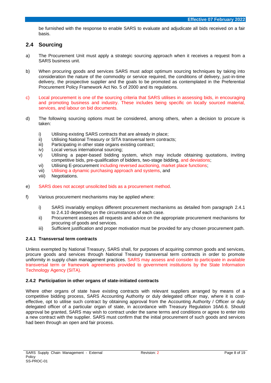be furnished with the response to enable SARS to evaluate and adjudicate all bids received on a fair basis.

# <span id="page-7-0"></span>**2.4 Sourcing**

- a) The Procurement Unit must apply a strategic sourcing approach when it receives a request from a SARS business unit.
- b) When procuring goods and services SARS must adopt optimum sourcing techniques by taking into consideration the nature of the commodity or service required, the conditions of delivery, just-in-time delivery, the prospective supplier and the goals to be promoted as contemplated in the Preferential Procurement Policy Framework Act No. 5 of 2000 and its regulations.
- c) Local procurement is one of the sourcing criteria that SARS utilises in assessing bids, in encouraging and promoting business and industry. These includes being specific on locally sourced material, services, and labour on bid documents.
- d) The following sourcing options must be considered, among others, when a decision to procure is taken:
	- i) Utilising existing SARS contracts that are already in place;<br>ii) Utilising National Treasury or SITA transversal term contra
	- Utilising National Treasury or SITA transversal term contracts;
	- iii) Participating in other state organs existing contract;
	- iv) Local versus international sourcing;
	- v) Utilising a paper-based bidding system, which may include obtaining quotations, inviting competitive bids, pre-qualification of bidders, two-stage bidding, and deviations;
	- vi) Utilising E-procurement including reversed auctioning, market place functions;
	- vii) Utilising a dynamic purchasing approach and systems, and
	- viii) Negotiations.
- e) SARS does not accept unsolicited bids as a procurement method.
- f) Various procurement mechanisms may be applied where:
	- i) SARS invariably employs different procurement mechanisms as detailed from paragraph 2.4.1 to 2.4.10 depending on the circumstances of each case.
	- ii) Procurement assesses all requests and advice on the appropriate procurement mechanisms for procuring of goods and services.
	- iii) Sufficient justification and proper motivation must be provided for any chosen procurement path.

#### <span id="page-7-1"></span>**2.4.1 Transversal term contracts**

Unless exempted by National Treasury, SARS shall, for purposes of acquiring common goods and services, procure goods and services through National Treasury transversal term contracts in order to promote uniformity in supply chain management practices. SARS may assess and consider to participate in available transversal term or framework agreements provided to government institutions by the State Information Technology Agency (SITA).

#### <span id="page-7-2"></span>**2.4.2 Participation in other organs of state-initiated contracts**

Where other organs of state have existing contracts with relevant suppliers arranged by means of a competitive bidding process, SARS Accounting Authority or duly delegated officer may, where it is costeffective, opt to utilise such contract by obtaining approval from the Accounting Authority / Officer or duly delegated officer of a particular organ of state, in accordance with Treasury Regulation 16A6.6. Should approval be granted, SARS may wish to contract under the same terms and conditions or agree to enter into a new contract with the supplier. SARS must confirm that the initial procurement of such goods and services had been through an open and fair process.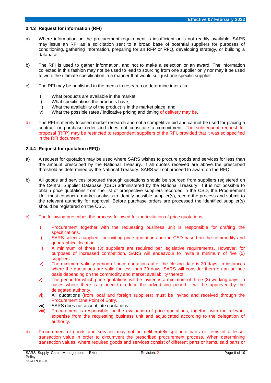#### <span id="page-8-0"></span>**2.4.3 Request for information (RFI)**

- a) Where information on the procurement requirement is insufficient or is not readily available, SARS may issue an RFI as a solicitation sent to a broad base of potential suppliers for purposes of conditioning, gathering information, preparing for an RFP or RFQ, developing strategy, or building a database.
- b) The RFI is used to gather information, and not to make a selection or an award. The information collected in this fashion may not be used to lead to sourcing from one supplier only nor may it be used to write the ultimate specification in a manner that would suit just one specific supplier.
- c) The RFI may be published in the media to research or determine inter alia:
	- i) What products are available in the market;
	- ii) What specifications the products have;
	- iii) What the availability of the product is in the market place; and
	- iv) What the possible rates / indicative pricing and timing of delivery may be.
- d) The RFI is merely focused market research and not a competitive bid and cannot be used for placing a contract or purchase order and does not constitute a commitment. The subsequent request for proposal (RFP) may be restricted to respondent suppliers of the RFI, provided that it was so specified in the RFI document.

#### <span id="page-8-1"></span>**2.4.4 Request for quotation (RFQ)**

- a) A request for quotation may be used where SARS wishes to procure goods and services for less than the amount prescribed by the National Treasury. If all quotes received are above the prescribed threshold as determined by the National Treasury, SARS will not proceed to award on the RFQ.
- b) All goods and services procured through quotations should be sourced from suppliers registered on the Central Supplier Database (CSD) administered by the National Treasury. If it is not possible to obtain price quotations from the list of prospective suppliers recorded in the CSD, the Procurement Unit must conduct a market analysis to identify possible supplier(s), record the process and submit to the relevant authority for approval. Before purchase orders are processed the identified supplier(s) should be registered on the CSD.
- c) The following prescribes the process followed for the invitation of price quotations:
	- i) Procurement together with the requesting business unit is responsible for drafting the specifications.
	- ii) SARS selects suppliers for inviting price quotations on the CSD based on the commodity and geographical location.
	- iii) A minimum of three (3) suppliers are required per legislative requirements. However, for purposes of increased competition, SARS will endeavour to invite a minimum of five (5) suppliers.
	- iv) The minimum validity period of price quotations after the closing date is 30 days. In instances where the quotations are valid for less than 30 days, SARS will consider them on an ad hoc basis depending on the commodity and market availability thereof.
	- v) The period for which price quotations will be invited is a minimum of three (3) working days. In cases where there is a need to reduce the advertising period it will be approved by the delegated authority.
	- vi) All quotations (from local and foreign suppliers) must be invited and received through the Procurement One Point of Entry.
	- vii) SARS does not accept late quotations.
	- viii) Procurement is responsible for the evaluation of price quotations, together with the relevant expertise from the requesting business unit and adjudicated according to the delegation of authority.
- d) Procurement of goods and services may not be deliberately split into parts or items of a lesser transaction value in order to circumvent the prescribed procurement process. When determining transaction values, where required goods and services consist of different parts or items, said parts or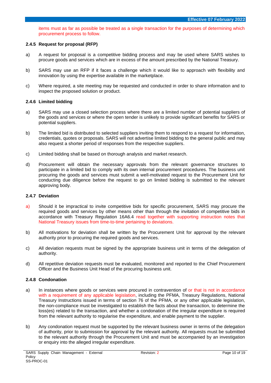items must as far as possible be treated as a single transaction for the purposes of determining which procurement process to follow.

#### <span id="page-9-0"></span>**2.4.5 Request for proposal (RFP)**

- a) A request for proposal is a competitive bidding process and may be used where SARS wishes to procure goods and services which are in excess of the amount prescribed by the National Treasury.
- b) SARS may use an RFP if it faces a challenge which it would like to approach with flexibility and innovation by using the expertise available in the marketplace.
- c) Where required, a site meeting may be requested and conducted in order to share information and to inspect the proposed solution or product.

#### <span id="page-9-1"></span>**2.4.6 Limited bidding**

- a) SARS may use a closed selection process where there are a limited number of potential suppliers of the goods and services or where the open tender is unlikely to provide significant benefits for SARS or potential suppliers.
- b) The limited bid is distributed to selected suppliers inviting them to respond to a request for information, credentials, quotes or proposals. SARS will not advertise limited bidding to the general public and may also request a shorter period of responses from the respective suppliers.
- c) Limited bidding shall be based on thorough analysis and market research.
- d) Procurement will obtain the necessary approvals from the relevant governance structures to participate in a limited bid to comply with its own internal procurement procedures. The business unit procuring the goods and services must submit a well-motivated request to the Procurement Unit for conducting due diligence before the request to go on limited bidding is submitted to the relevant approving body.

#### <span id="page-9-2"></span>**2.4.7 Deviation**

- a) Should it be impractical to invite competitive bids for specific procurement, SARS may procure the required goods and services by other means other than through the invitation of competitive bids in accordance with Treasury Regulation 16A6.4 read together with supporting instruction notes that National Treasury issues from time-to-time pertaining to deviations.
- b) All motivations for deviation shall be written by the Procurement Unit for approval by the relevant authority prior to procuring the required goods and services.
- c) All deviation requests must be signed by the appropriate business unit in terms of the delegation of authority.
- d) All repetitive deviation requests must be evaluated, monitored and reported to the Chief Procurement Officer and the Business Unit Head of the procuring business unit.

#### <span id="page-9-3"></span>**2.4.8 Condonation**

- a) In instances where goods or services were procured in contravention of or that is not in accordance with a requirement of any applicable legislation, including the PFMA, Treasury Regulations, National Treasury Instructions issued in terms of section 76 of the PFMA, or any other applicable legislation, the non-compliance must be investigated to establish the facts about the transaction, to determine the loss(es) related to the transaction, and whether a condonation of the irregular expenditure is required from the relevant authority to regularise the expenditure, and enable payment to the supplier.
- b) Any condonation request must be supported by the relevant business owner in terms of the delegation of authority, prior to submission for approval by the relevant authority. All requests must be submitted to the relevant authority through the Procurement Unit and must be accompanied by an investigation or enquiry into the alleged irregular expenditure.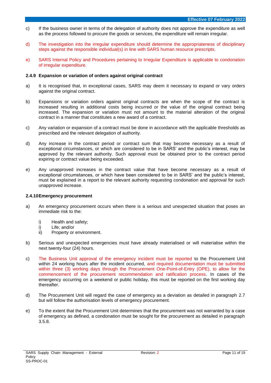- c) If the business owner in terms of the delegation of authority does not approve the expenditure as well as the process followed to procure the goods or services, the expenditure will remain irregular.
- d) The investigation into the irregular expenditure should determine the appropriateness of disciplinary steps against the responsible individual(s) in line with SARS human resource prescripts.
- e) SARS Internal Policy and Procedures pertaining to Irregular Expenditure is applicable to condonation of irregular expenditure.

#### <span id="page-10-0"></span>**2.4.9 Expansion or variation of orders against original contract**

- a) It is recognised that, in exceptional cases, SARS may deem it necessary to expand or vary orders against the original contract.
- b) Expansions or variation orders against original contracts are when the scope of the contract is increased resulting in additional costs being incurred or the value of the original contract being increased. The expansion or variation must not amount to the material alteration of the original contract in a manner that constitutes a new award of a contract.
- c) Any variation or expansion of a contract must be done in accordance with the applicable thresholds as prescribed and the relevant delegation of authority.
- d) Any increase in the contract period or contract sum that may become necessary as a result of exceptional circumstances, or which are considered to be in SARS' and the public's interest, may be approved by the relevant authority. Such approval must be obtained prior to the contract period expiring or contract value being exceeded.
- e) Any unapproved increases in the contract value that have become necessary as a result of exceptional circumstances, or which have been considered to be in SARS' and the public's interest, must be explained in a report to the relevant authority requesting condonation and approval for such unapproved increase.

#### <span id="page-10-1"></span>**2.4.10Emergency procurement**

- a) An emergency procurement occurs when there is a serious and unexpected situation that poses an immediate risk to the:
	- i) Health and safety;
	- i) Life; and/or
	- ii) Property or environment.
- b) Serious and unexpected emergencies must have already materialised or will materialise within the next twenty-four (24) hours.
- c) The Business Unit approval of the emergency incident must be reported to the Procurement Unit within 24 working hours after the incident occurred, and required documentation must be submitted within three (3) working days through the Procurement One-Point-of-Entry (OPE), to allow for the commencement of the procurement recommendation and ratification process. In cases of the emergency occurring on a weekend or public holiday, this must be reported on the first working day thereafter.
- d) The Procurement Unit will regard the case of emergency as a deviation as detailed in paragraph 2.7 but will follow the authorisation levels of emergency procurement.
- e) To the extent that the Procurement Unit determines that the procurement was not warranted by a case of emergency as defined, a condonation must be sought for the procurement as detailed in paragraph 3.5.8.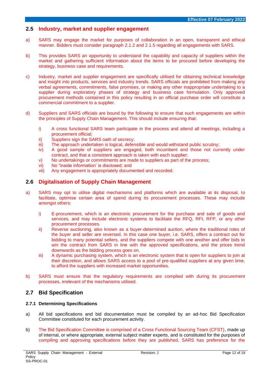# <span id="page-11-0"></span>**2.5 Industry, market and supplier engagement**

- a) SARS may engage the market for purposes of collaboration in an open, transparent and ethical manner. Bidders must consider paragraph 2.1.2 and 2.1.5 regarding all engagements with SARS.
- b) This provides SARS an opportunity to understand the capability and capacity of suppliers within the market and gathering sufficient information about the items to be procured before developing the strategy, business case and requirements.
- c) Industry, market and supplier engagement are specifically utilised for obtaining technical knowledge and insight into products, services and industry trends. SARS officials are prohibited from making any verbal agreements, commitments, false promises, or making any other inappropriate undertaking to a supplier during exploratory phases of strategy and business case formulation. Only approved procurement methods contained in this policy resulting in an official purchase order will constitute a commercial commitment to a supplier.
- d) Suppliers and SARS officials are bound by the following to ensure that such engagements are within the principles of Supply Chain Management. This should include ensuring that:
	- i) A cross functional SARS team participate in the process and attend all meetings, including a procurement official;
	- ii) Suppliers sign the SARS oath of secrecy;
	- iii) The approach undertaken is logical, defensible and would withstand public scrutiny;
	- iv) A good sample of suppliers are engaged, both incumbent and those not currently under contract, and that a consistent approach is taken with each supplier;
	- v) No undertakings or commitments are made to suppliers as part of the process;
	- vi) No "inside information' is disclosed; and
	- vii) Any engagement is appropriately documented and recorded.

# <span id="page-11-1"></span>**2.6 Digitalisation of Supply Chain Management**

- a) SARS may opt to utilise digital mechanisms and platforms which are available at its disposal, to facilitate, optimise certain area of spend during its procurement processes. These may include amongst others:
	- i) E-procurement, which is an electronic procurement for the purchase and sale of goods and services, and may include electronic systems to facilitate the RFQ, RFI, RFP, or any other procurement processes.
	- ii) Reverse auctioning, also known as a buyer-determined auction, where the traditional roles of the buyer and seller are reversed. In this case one buyer, i.e. SARS, offers a contract out for bidding to many potential sellers, and the suppliers compete with one another and offer bids to win the contract from SARS in line with the approved specifications, and the prices trend downwards as the bidding process goes on.
	- iii) A dynamic purchasing system, which is an electronic system that is open for suppliers to join at their discretion, and allows SARS access to a pool of pre-qualified suppliers at any given time, to afford the suppliers with increased market opportunities.
- b) SARS must ensure that the regulatory requirements are complied with during its procurement processes, irrelevant of the mechanisms utilised.

# <span id="page-11-2"></span>**2.7 Bid Specification**

#### <span id="page-11-3"></span>**2.7.1 Determining Specifications**

- a) All bid specifications and bid documentation must be compiled by an ad-hoc Bid Specification Committee constituted for each procurement activity.
- b) The Bid Specification Committee is comprised of a Cross Functional Sourcing Team (CFST), made up of internal, or where appropriate, external subject matter experts, and is constituted for the purposes of compiling and approving specifications before they are published. SARS has preference for the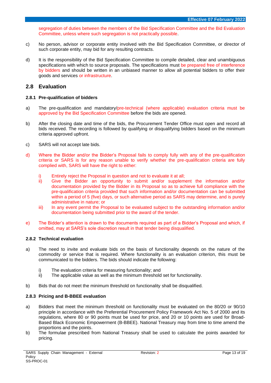segregation of duties between the members of the Bid Specification Committee and the Bid Evaluation Committee, unless where such segregation is not practically possible.

- c) No person, advisor or corporate entity involved with the Bid Specification Committee, or director of such corporate entity, may bid for any resulting contracts.
- d) It is the responsibility of the Bid Specification Committee to compile detailed, clear and unambiguous specifications with which to source proposals. The specifications must be prepared free of interference by bidders and should be written in an unbiased manner to allow all potential bidders to offer their goods and services or infrastructure.

#### <span id="page-12-0"></span>**2.8 Evaluation**

#### <span id="page-12-1"></span>**2.8.1 Pre-qualification of bidders**

- a) The pre-qualification and mandatory/pre-technical (where applicable) evaluation criteria must be approved by the Bid Specification Committee before the bids are opened.
- b) After the closing date and time of the bids, the Procurement Tender Office must open and record all bids received. The recording is followed by qualifying or disqualifying bidders based on the minimum criteria approved upfront.
- c) SARS will not accept late bids.
- d) Where the Bidder and/or the Bidder's Proposal fails to comply fully with any of the pre-qualification criteria or SARS is for any reason unable to verify whether the pre-qualification criteria are fully complied with, SARS will have the right to either:
	- i) Entirely reject the Proposal in question and not to evaluate it at all;
	- ii) Give the Bidder an opportunity to submit and/or supplement the information and/or documentation provided by the Bidder in its Proposal so as to achieve full compliance with the pre-qualification criteria provided that such information and/or documentation can be submitted within a period of 5 (five) days, or such alternative period as SARS may determine, and is purely administrative in nature; or
	- iii) In any event permit the Proposal to be evaluated subject to the outstanding information and/or documentation being submitted prior to the award of the tender.
- e) The Bidder's attention is drawn to the documents required as part of a Bidder's Proposal and which, if omitted, may at SARS's sole discretion result in that tender being disqualified.

#### <span id="page-12-2"></span>**2.8.2 Technical evaluation**

- a) The need to invite and evaluate bids on the basis of functionality depends on the nature of the commodity or service that is required. Where functionality is an evaluation criterion, this must be communicated to the bidders. The bids should indicate the following:
	- i) The evaluation criteria for measuring functionality; and
	- ii) The applicable value as well as the minimum threshold set for functionality.
- b) Bids that do not meet the minimum threshold on functionality shall be disqualified.

#### <span id="page-12-3"></span>**2.8.3 Pricing and B-BBEE evaluation**

- a) Bidders that meet the minimum threshold on functionality must be evaluated on the 80/20 or 90/10 principle in accordance with the Preferential Procurement Policy Framework Act No. 5 of 2000 and its regulations, where 80 or 90 points must be used for price, and 20 or 10 points are used for Broad-Based Black Economic Empowerment (B-BBEE). National Treasury may from time to time amend the proportions and the points.
- b) The formulae prescribed from National Treasury shall be used to calculate the points awarded for pricing.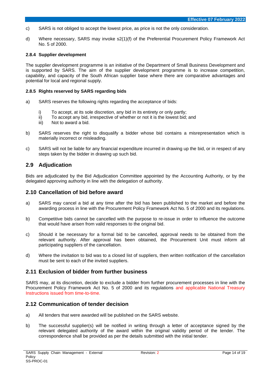- c) SARS is not obliged to accept the lowest price, as price is not the only consideration.
- d) Where necessary, SARS may invoke s2(1)(f) of the Preferential Procurement Policy Framework Act No. 5 of 2000.

#### <span id="page-13-0"></span>**2.8.4 Supplier development**

The supplier development programme is an initiative of the Department of Small Business Development and is supported by SARS. The aim of the supplier development programme is to increase competition, capability, and capacity of the South African supplier base where there are comparative advantages and potential for local and regional supply.

#### <span id="page-13-1"></span>**2.8.5 Rights reserved by SARS regarding bids**

- a) SARS reserves the following rights regarding the acceptance of bids:
	- i) To accept, at its sole discretion, any bid in its entirety or only partly;
	- ii) To accept any bid, irrespective of whether or not it is the lowest bid; and <br>iii) Not to award a bid.
	- Not to award a bid.
- b) SARS reserves the right to disqualify a bidder whose bid contains a misrepresentation which is materially incorrect or misleading.
- c) SARS will not be liable for any financial expenditure incurred in drawing up the bid, or in respect of any steps taken by the bidder in drawing up such bid.

#### <span id="page-13-2"></span>**2.9 Adjudication**

Bids are adjudicated by the Bid Adjudication Committee appointed by the Accounting Authority, or by the delegated approving authority in line with the delegation of authority.

#### <span id="page-13-3"></span>**2.10 Cancellation of bid before award**

- a) SARS may cancel a bid at any time after the bid has been published to the market and before the awarding process in line with the Procurement Policy Framework Act No. 5 of 2000 and its regulations.
- b) Competitive bids cannot be cancelled with the purpose to re-issue in order to influence the outcome that would have arisen from valid responses to the original bid.
- c) Should it be necessary for a formal bid to be cancelled, approval needs to be obtained from the relevant authority. After approval has been obtained, the Procurement Unit must inform all participating suppliers of the cancellation.
- d) Where the invitation to bid was to a closed list of suppliers, then written notification of the cancellation must be sent to each of the invited suppliers.

#### <span id="page-13-4"></span>**2.11 Exclusion of bidder from further business**

SARS may, at its discretion, decide to exclude a bidder from further procurement processes in line with the Procurement Policy Framework Act No. 5 of 2000 and its regulations and applicable National Treasury Instructions issued from time-to-time.

#### <span id="page-13-5"></span>**2.12 Communication of tender decision**

- a) All tenders that were awarded will be published on the SARS website.
- b) The successful supplier(s) will be notified in writing through a letter of acceptance signed by the relevant delegated authority of the award within the original validity period of the tender. The correspondence shall be provided as per the details submitted with the initial tender.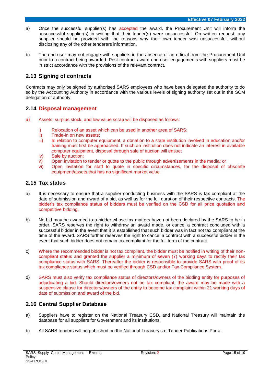- a) Once the successful supplier(s) has accepted the award, the Procurement Unit will inform the unsuccessful supplier(s) in writing that their tender(s) were unsuccessful. On written request, any supplier should be provided with the reasons why their own tender was unsuccessful, without disclosing any of the other tenderers information.
- b) The end-user may not engage with suppliers in the absence of an official from the Procurement Unit prior to a contract being awarded. Post-contract award end-user engagements with suppliers must be in strict accordance with the provisions of the relevant contract.

# <span id="page-14-0"></span>**2.13 Signing of contracts**

Contracts may only be signed by authorised SARS employees who have been delegated the authority to do so by the Accounting Authority in accordance with the various levels of signing authority set out in the SCM delegation of authority.

# <span id="page-14-1"></span>**2.14 Disposal management**

- a) Assets, surplus stock, and low value scrap will be disposed as follows:
	- i) Relocation of an asset which can be used in another area of SARS;
	- ii) Trade-in on new assets;
	- iii) In relation to computer equipment, a donation to a state institution involved in education and/or training must first be approached. If such an institution does not indicate an interest in available computer equipment, disposal through sale of auction will ensue;
	- iv) Sale by auction;
	- v) Open invitation to tender or quote to the public through advertisements in the media; or
	- vi) Open invitation for staff to quote in specific circumstances, for the disposal of obsolete equipment/assets that has no significant market value.

# <span id="page-14-2"></span>**2.15 Tax status**

- a) It is necessary to ensure that a supplier conducting business with the SARS is tax compliant at the date of submission and award of a bid, as well as for the full duration of their respective contracts. The bidder's tax compliance status of bidders must be verified on the CSD for all price quotation and competitive bidding.
- b) No bid may be awarded to a bidder whose tax matters have not been declared by the SARS to be in order. SARS reserves the right to withdraw an award made, or cancel a contract concluded with a successful bidder in the event that it is established that such bidder was in fact not tax compliant at the time of the award. SARS further reserves the right to cancel a contract with a successful bidder in the event that such bidder does not remain tax compliant for the full term of the contract.
- c) Where the recommended bidder is not tax compliant, the bidder must be notified in writing of their noncompliant status and granted the supplier a minimum of seven (7) working days to rectify their tax compliance status with SARS. Thereafter the bidder is responsible to provide SARS with proof of its tax compliance status which must be verified through CSD and/or Tax Compliance System.
- d) SARS must also verify tax compliance status of directors/owners of the bidding entity for purposes of adjudicating a bid. Should directors/owners not be tax compliant, the award may be made with a suspensive clause for directors/owners of the entity to become tax complaint within 21 working days of date of submission and award of the bid.

# <span id="page-14-3"></span>**2.16 Central Supplier Database**

- a) Suppliers have to register on the National Treasury CSD, and National Treasury will maintain the database for all suppliers for Government and its institutions.
- b) All SARS tenders will be published on the National Treasury's e-Tender Publications Portal.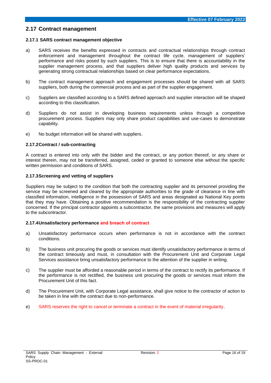## <span id="page-15-0"></span>**2.17 Contract management**

#### <span id="page-15-1"></span>**2.17.1 SARS contract management objective**

- a) SARS receives the benefits expressed in contracts and contractual relationships through contract enforcement and management throughout the contract life cycle, management of suppliers' performance and risks posed by such suppliers. This is to ensure that there is accountability in the supplier management process, and that suppliers deliver high quality products and services by generating strong contractual relationships based on clear performance expectations.
- b) The contract management approach and engagement processes should be shared with all SARS suppliers, both during the commercial process and as part of the supplier engagement.
- c) Suppliers are classified according to a SARS defined approach and supplier interaction will be shaped according to this classification.
- d) Suppliers do not assist in developing business requirements unless through a competitive procurement process. Suppliers may only share product capabilities and use-cases to demonstrate capability.
- e) No budget information will be shared with suppliers.

#### <span id="page-15-2"></span>**2.17.2Contract / sub-contracting**

A contract is entered into only with the bidder and the contract, or any portion thereof, or any share or interest therein, may not be transferred, assigned, ceded or granted to someone else without the specific written permission and conditions of SARS.

#### <span id="page-15-3"></span>**2.17.3Screening and vetting of suppliers**

Suppliers may be subject to the condition that both the contracting supplier and its personnel providing the service may be screened and cleared by the appropriate authorities to the grade of clearance in line with classified information, intelligence in the possession of SARS and areas designated as National Key points that they may have. Obtaining a positive recommendation is the responsibility of the contracting supplier concerned. If the principal contractor appoints a subcontractor, the same provisions and measures will apply to the subcontractor.

#### <span id="page-15-4"></span>**2.17.4Unsatisfactory performance and breach of contract**

- a) Unsatisfactory performance occurs when performance is not in accordance with the contract conditions.
- b) The business unit procuring the goods or services must identify unsatisfactory performance in terms of the contract timeously and must, in consultation with the Procurement Unit and Corporate Legal Services assistance bring unsatisfactory performance to the attention of the supplier in writing.
- c) The supplier must be afforded a reasonable period in terms of the contract to rectify its performance. If the performance is not rectified, the business unit procuring the goods or services must inform the Procurement Unit of this fact.
- d) The Procurement Unit, with Corporate Legal assistance, shall give notice to the contractor of action to be taken in line with the contract due to non-performance.
- e) SARS reserves the right to cancel or terminate a contract in the event of material irregularity.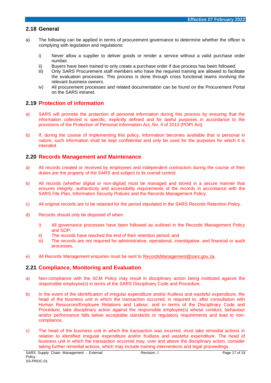# <span id="page-16-0"></span>**2.18 General**

- a) The following can be applied in terms of procurement governance to determine whether the officer is complying with legislation and regulations:
	- i) Never allow a supplier to deliver goods or render a service without a valid purchase order number.
	- ii) Buyers have been trained to only create a purchase order if due process has been followed.
	- iii) Only SARS Procurement staff members who have the required training are allowed to facilitate the evaluation processes. This process is done through cross functional teams involving the relevant business owners.
	- iv) All procurement processes and related documentation can be found on the Procurement Portal on the SARS intranet.

# <span id="page-16-1"></span>**2.19 Protection of information**

- a) SARS will promote the protection of personal information during this process by ensuring that the information collected is specific, explicitly defined and for lawful purposes in accordance to the provisions of the Protection of Personal Information Act, No. 4 of 2013 (POPI Act).
- b) If, during the course of implementing this policy, information becomes available that is personal in nature, such information shall be kept confidential and only be used for the purposes for which it is intended.

# <span id="page-16-2"></span>**2.20 Records Management and Maintenance**

- a) All records created or received by employees and independent contractors during the course of their duties are the property of the SARS and subject to its overall control.
- b) All records (whether digital or non-digital) must be managed and stored in a secure manner that ensures integrity, authenticity and accessibility requirements of the records in accordance with the SARS File Plan, Information Security Policies and the Records Management Policy.
- c) All original records are to be retained for the period stipulated in the SARS Records Retention Policy.
- d) Records should only be disposed of when:
	- i) All governance processes have been followed as outlined in the Records Management Policy and SOP;
	- ii) The records have reached the end of their retention period; and
	- iii) The records are not required for administrative, operational, investigative, and financial or audit processes.
- e) All Records Management enquiries must be sent to [RecordsManagement@sars.gov.za.](mailto:RecordsManagement@sars.gov.za)

# <span id="page-16-3"></span>**2.21 Compliance, Monitoring and Evaluation**

- a) Non-compliance with the SCM Policy may result in disciplinary action being instituted against the responsible employee(s) in terms of the SARS Disciplinary Code and Procedure.
- b) In the event of the identification of irregular expenditure and/or fruitless and wasteful expenditure, the head of the business unit in which the transaction occurred, is required to, after consultation with Human Resources/Employee Relations and Labour, and in terms of the Disciplinary Code and Procedure, take disciplinary action against the responsible employee(s) whose conduct, behaviour and/or performance falls below acceptable standards or regulatory requirements and lead to noncompliance.
- c) The head of the business unit in which the transaction was incurred, must take remedial actions in relation to identified irregular expenditure and/or fruitless and wasteful expenditure. The head of business unit in which the transaction occurred may, over and above the disciplinary action, consider taking further remedial actions, which may include training interventions and legal proceedings.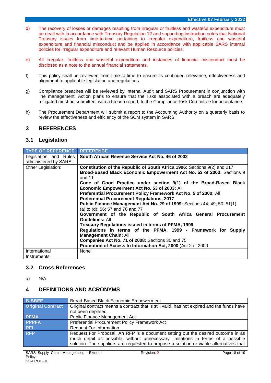- d) The recovery of losses or damages resulting from irregular or fruitless and wasteful expenditure must be dealt with in accordance with Treasury Regulation 12 and supporting instruction notes that National Treasury issues from time-to-time pertaining to irregular expenditure, fruitless and wasteful expenditure and financial misconduct and be applied in accordance with applicable SARS internal policies for irregular expenditure and relevant Human Resource policies.
- e) All irregular, fruitless and wasteful expenditure and instances of financial misconduct must be disclosed as a note to the annual financial statements.
- f) This policy shall be reviewed from time-to-time to ensure its continued relevance, effectiveness and alignment to applicable legislation and regulations.
- g) Compliance breaches will be reviewed by Internal Audit and SARS Procurement in conjunction with line management. Action plans to ensure that the risks associated with a breach are adequately mitigated must be submitted, with a breach report, to the Compliance Risk Committee for acceptance.
- h) The Procurement Department will submit a report to the Accounting Authority on a quarterly basis to review the effectiveness and efficiency of the SCM system in SARS.

# <span id="page-17-0"></span>**3 REFERENCES**

## <span id="page-17-1"></span>**3.1 Legislation**

| <b>TYPE OF REFERENCE</b>                       | <b>REFERENCE</b>                                                                                                                                                                                                                                                                                                                                                                                                                                                                                                                                                                                                                                                                                                                                                                                                                                                                                 |
|------------------------------------------------|--------------------------------------------------------------------------------------------------------------------------------------------------------------------------------------------------------------------------------------------------------------------------------------------------------------------------------------------------------------------------------------------------------------------------------------------------------------------------------------------------------------------------------------------------------------------------------------------------------------------------------------------------------------------------------------------------------------------------------------------------------------------------------------------------------------------------------------------------------------------------------------------------|
| Legislation and Rules<br>administered by SARS: | South African Revenue Service Act No. 46 of 2002                                                                                                                                                                                                                                                                                                                                                                                                                                                                                                                                                                                                                                                                                                                                                                                                                                                 |
| Other Legislation:                             | Constitution of the Republic of South Africa 1996: Sections 9(2) and 217<br>Broad-Based Black Economic Empowerment Act No. 53 of 2003: Sections 9<br>and 11<br>Code of Good Practice under section 9(1) of the Broad-Based Black<br>Economic Empowerment Act No. 53 of 2003: All<br>Preferential Procurement Policy Framework Act No. 5 of 2000: All<br><b>Preferential Procurement Regulations, 2017</b><br>Public Finance Management Act No. 29 of 1999: Sections 44; 49; 50; 51(1)<br>(a) to (d); 56; 57 and 76 and 77<br>Government of the Republic of South Africa General Procurement<br><b>Guidelines: All</b><br>Treasury Regulations issued in terms of PFMA, 1999<br>Regulations in terms of the PFMA, 1999 - Framework for Supply<br><b>Management Chain: All</b><br>Companies Act No. 71 of 2008: Sections 30 and 75<br>Promotion of Access to Information Act, 2000 (Act 2 of 2000) |
| International<br>Instruments:                  | None                                                                                                                                                                                                                                                                                                                                                                                                                                                                                                                                                                                                                                                                                                                                                                                                                                                                                             |

# <span id="page-17-2"></span>**3.2 Cross References**

a) N/A.

# <span id="page-17-3"></span>**4 DEFINITIONS AND ACRONYMS**

| <b>B-BBEE</b>            | Broad-Based Black Economic Empowerment                                                     |  |
|--------------------------|--------------------------------------------------------------------------------------------|--|
| <b>Original Contract</b> | Original contract means a contract that is still valid, has not expired and the funds have |  |
|                          | not been depleted.                                                                         |  |
| <b>PFMA</b>              | <b>Public Finance Management Act</b>                                                       |  |
| <b>PPPFA</b>             | Preferential Procurement Policy Framework Act                                              |  |
| <b>RFI</b>               | <b>Request For Information</b>                                                             |  |
| <b>RFP</b>               | Request For Proposal. An RFP is a document setting out the desired outcome in as           |  |
|                          | much detail as possible, without unnecessary limitations in terms of a possible            |  |
|                          | solution. The suppliers are requested to propose a solution or viable alternatives that    |  |